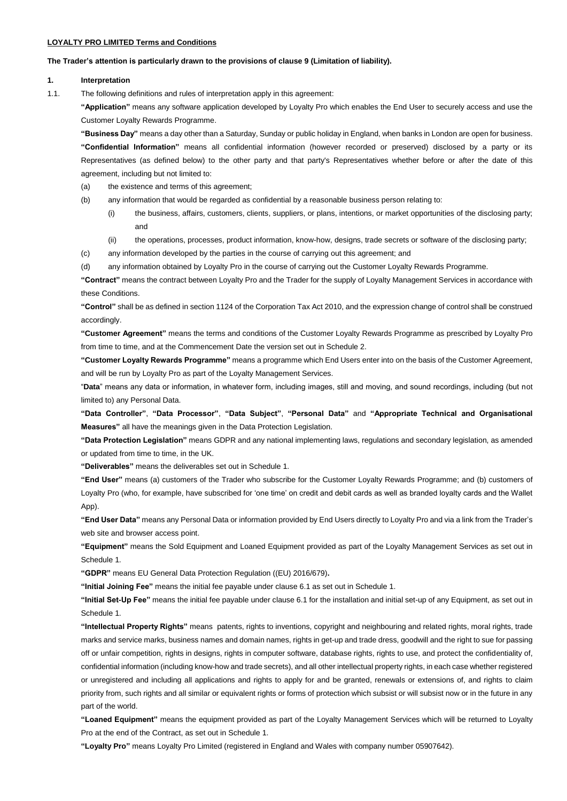#### **LOYALTY PRO LIMITED Terms and Conditions**

#### **The Trader's attention is particularly drawn to the provisions of clause 9 (Limitation of liability).**

## **1. Interpretation**

1.1. The following definitions and rules of interpretation apply in this agreement:

**"Application"** means any software application developed by Loyalty Pro which enables the End User to securely access and use the Customer Loyalty Rewards Programme.

**"Business Day"** means a day other than a Saturday, Sunday or public holiday in England, when banks in London are open for business. **"Confidential Information"** means all confidential information (however recorded or preserved) disclosed by a party or its Representatives (as defined below) to the other party and that party's Representatives whether before or after the date of this agreement, including but not limited to:

- (a) the existence and terms of this agreement;
- (b) any information that would be regarded as confidential by a reasonable business person relating to:
	- (i) the business, affairs, customers, clients, suppliers, or plans, intentions, or market opportunities of the disclosing party; and
	- (ii) the operations, processes, product information, know-how, designs, trade secrets or software of the disclosing party;
- (c) any information developed by the parties in the course of carrying out this agreement; and
- (d) any information obtained by Loyalty Pro in the course of carrying out the Customer Loyalty Rewards Programme.

**"Contract"** means the contract between Loyalty Pro and the Trader for the supply of Loyalty Management Services in accordance with these Conditions.

**"Control"** shall be as defined in section 1124 of the Corporation Tax Act 2010, and the expression change of control shall be construed accordingly.

**"Customer Agreement"** means the terms and conditions of the Customer Loyalty Rewards Programme as prescribed by Loyalty Pro from time to time, and at the Commencement Date the version set out in Schedule 2.

**"Customer Loyalty Rewards Programme"** means a programme which End Users enter into on the basis of the Customer Agreement, and will be run by Loyalty Pro as part of the Loyalty Management Services.

"**Data**" means any data or information, in whatever form, including images, still and moving, and sound recordings, including (but not limited to) any Personal Data.

**"Data Controller"**, **"Data Processor"**, **"Data Subject"**, **"Personal Data"** and **"Appropriate Technical and Organisational Measures"** all have the meanings given in the Data Protection Legislation.

**"Data Protection Legislation"** means GDPR and any national implementing laws, regulations and secondary legislation, as amended or updated from time to time, in the UK.

**"Deliverables"** means the deliverables set out in Schedule 1.

**"End User"** means (a) customers of the Trader who subscribe for the Customer Loyalty Rewards Programme; and (b) customers of Loyalty Pro (who, for example, have subscribed for 'one time' on credit and debit cards as well as branded loyalty cards and the Wallet App).

**"End User Data"** means any Personal Data or information provided by End Users directly to Loyalty Pro and via a link from the Trader's web site and browser access point.

**"Equipment"** means the Sold Equipment and Loaned Equipment provided as part of the Loyalty Management Services as set out in Schedule 1.

**"GDPR"** means EU General Data Protection Regulation ((EU) 2016/679)**.**

**"Initial Joining Fee"** means the initial fee payable under clause 6.1 as set out in Schedule 1.

**"Initial Set-Up Fee"** means the initial fee payable under clause 6.1 for the installation and initial set-up of any Equipment, as set out in Schedule 1.

**"Intellectual Property Rights"** means patents, rights to inventions, copyright and neighbouring and related rights, moral rights, trade marks and service marks, business names and domain names, rights in get-up and trade dress, goodwill and the right to sue for passing off or unfair competition, rights in designs, rights in computer software, database rights, rights to use, and protect the confidentiality of, confidential information (including know-how and trade secrets), and all other intellectual property rights, in each case whether registered or unregistered and including all applications and rights to apply for and be granted, renewals or extensions of, and rights to claim priority from, such rights and all similar or equivalent rights or forms of protection which subsist or will subsist now or in the future in any part of the world.

**"Loaned Equipment"** means the equipment provided as part of the Loyalty Management Services which will be returned to Loyalty Pro at the end of the Contract, as set out in Schedule 1.

**"Loyalty Pro"** means Loyalty Pro Limited (registered in England and Wales with company number 05907642).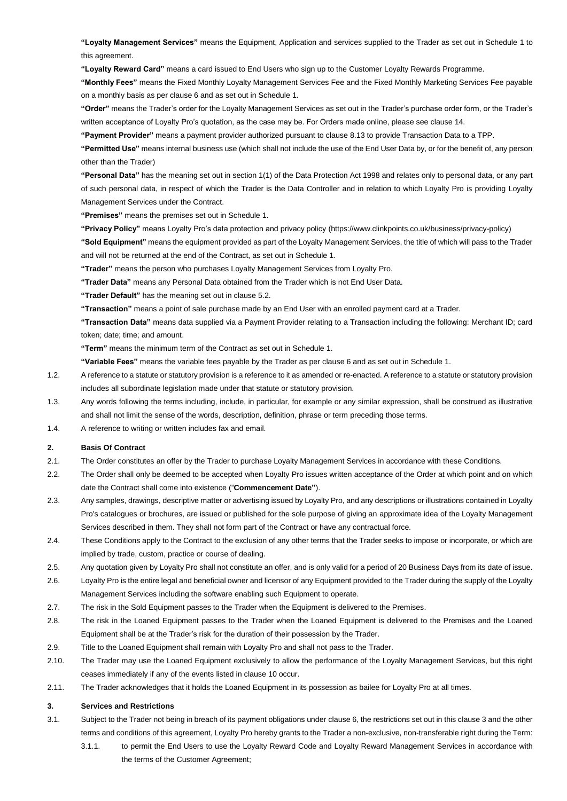**"Loyalty Management Services"** means the Equipment, Application and services supplied to the Trader as set out in Schedule 1 to this agreement.

**"Loyalty Reward Card"** means a card issued to End Users who sign up to the Customer Loyalty Rewards Programme.

**"Monthly Fees"** means the Fixed Monthly Loyalty Management Services Fee and the Fixed Monthly Marketing Services Fee payable on a monthly basis as per clause 6 and as set out in Schedule 1.

**"Order"** means the Trader's order for the Loyalty Management Services as set out in the Trader's purchase order form, or the Trader's written acceptance of Loyalty Pro's quotation, as the case may be. For Orders made online, please see clause 14.

**"Payment Provider"** means a payment provider authorized pursuant to clause 8.13 to provide Transaction Data to a TPP.

**"Permitted Use"** means internal business use (which shall not include the use of the End User Data by, or for the benefit of, any person other than the Trader)

**"Personal Data"** has the meaning set out in section 1(1) of the Data Protection Act 1998 and relates only to personal data, or any part of such personal data, in respect of which the Trader is the Data Controller and in relation to which Loyalty Pro is providing Loyalty Management Services under the Contract.

**"Premises"** means the premises set out in Schedule 1.

**"Privacy Policy"** means Loyalty Pro's data protection and privacy policy (https://www.clinkpoints.co.uk/business/privacy-policy)

**"Sold Equipment"** means the equipment provided as part of the Loyalty Management Services, the title of which will pass to the Trader and will not be returned at the end of the Contract, as set out in Schedule 1.

**"Trader"** means the person who purchases Loyalty Management Services from Loyalty Pro.

**"Trader Data"** means any Personal Data obtained from the Trader which is not End User Data.

**"Trader Default"** has the meaning set out in clause 5.2.

**"Transaction"** means a point of sale purchase made by an End User with an enrolled payment card at a Trader.

**"Transaction Data"** means data supplied via a Payment Provider relating to a Transaction including the following: Merchant ID; card token; date; time; and amount.

**"Term"** means the minimum term of the Contract as set out in Schedule 1.

**"Variable Fees"** means the variable fees payable by the Trader as per clause 6 and as set out in Schedule 1.

- 1.2. A reference to a statute or statutory provision is a reference to it as amended or re-enacted. A reference to a statute or statutory provision includes all subordinate legislation made under that statute or statutory provision.
- 1.3. Any words following the terms including, include, in particular, for example or any similar expression, shall be construed as illustrative and shall not limit the sense of the words, description, definition, phrase or term preceding those terms.
- 1.4. A reference to writing or written includes fax and email.

## **2. Basis Of Contract**

- 2.1. The Order constitutes an offer by the Trader to purchase Loyalty Management Services in accordance with these Conditions.
- 2.2. The Order shall only be deemed to be accepted when Loyalty Pro issues written acceptance of the Order at which point and on which date the Contract shall come into existence ("**Commencement Date"**).
- 2.3. Any samples, drawings, descriptive matter or advertising issued by Loyalty Pro, and any descriptions or illustrations contained in Loyalty Pro's catalogues or brochures, are issued or published for the sole purpose of giving an approximate idea of the Loyalty Management Services described in them. They shall not form part of the Contract or have any contractual force.
- 2.4. These Conditions apply to the Contract to the exclusion of any other terms that the Trader seeks to impose or incorporate, or which are implied by trade, custom, practice or course of dealing.
- 2.5. Any quotation given by Loyalty Pro shall not constitute an offer, and is only valid for a period of 20 Business Days from its date of issue.
- 2.6. Loyalty Pro is the entire legal and beneficial owner and licensor of any Equipment provided to the Trader during the supply of the Loyalty Management Services including the software enabling such Equipment to operate.
- 2.7. The risk in the Sold Equipment passes to the Trader when the Equipment is delivered to the Premises.
- 2.8. The risk in the Loaned Equipment passes to the Trader when the Loaned Equipment is delivered to the Premises and the Loaned Equipment shall be at the Trader's risk for the duration of their possession by the Trader.
- 2.9. Title to the Loaned Equipment shall remain with Loyalty Pro and shall not pass to the Trader.
- 2.10. The Trader may use the Loaned Equipment exclusively to allow the performance of the Loyalty Management Services, but this right ceases immediately if any of the events listed in clause 10 occur.
- 2.11. The Trader acknowledges that it holds the Loaned Equipment in its possession as bailee for Loyalty Pro at all times.

### **3. Services and Restrictions**

- <span id="page-1-0"></span>3.1. Subject to the Trader not being in breach of its payment obligations under clause 6, the restrictions set out in this clause 3 and the other terms and conditions of this agreement, Loyalty Pro hereby grants to the Trader a non-exclusive, non-transferable right during the Term:
	- 3.1.1. to permit the End Users to use the Loyalty Reward Code and Loyalty Reward Management Services in accordance with the terms of the Customer Agreement;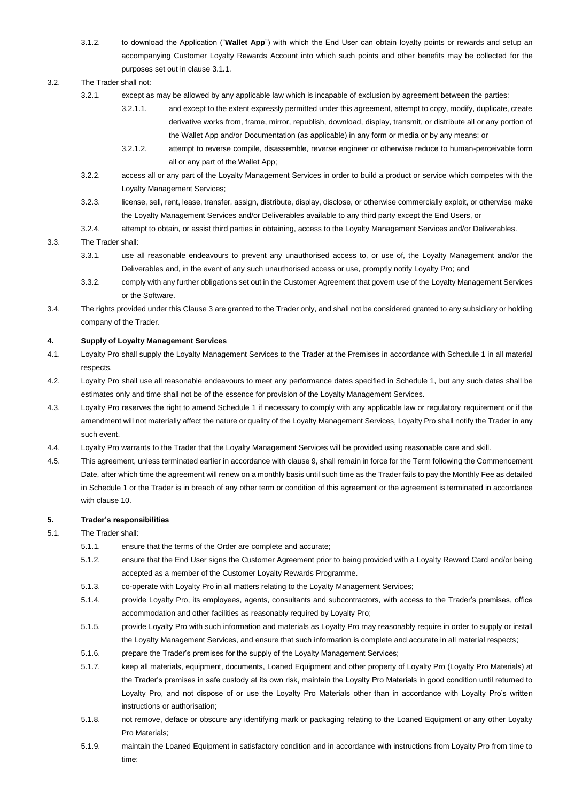- 3.1.2. to download the Application ("**Wallet App**") with which the End User can obtain loyalty points or rewards and setup an accompanying Customer Loyalty Rewards Account into which such points and other benefits may be collected for the purposes set out in clause [3.1.1.](#page-1-0)
- 3.2. The Trader shall not:

3.2.1. except as may be allowed by any applicable law which is incapable of exclusion by agreement between the parties:

- 3.2.1.1. and except to the extent expressly permitted under this agreement, attempt to copy, modify, duplicate, create derivative works from, frame, mirror, republish, download, display, transmit, or distribute all or any portion of the Wallet App and/or Documentation (as applicable) in any form or media or by any means; or
	- 3.2.1.2. attempt to reverse compile, disassemble, reverse engineer or otherwise reduce to human-perceivable form all or any part of the Wallet App;
- 3.2.2. access all or any part of the Loyalty Management Services in order to build a product or service which competes with the Loyalty Management Services;
- 3.2.3. license, sell, rent, lease, transfer, assign, distribute, display, disclose, or otherwise commercially exploit, or otherwise make the Loyalty Management Services and/or Deliverables available to any third party except the End Users, or
- 3.2.4. attempt to obtain, or assist third parties in obtaining, access to the Loyalty Management Services and/or Deliverables.
- 3.3. The Trader shall:
	- 3.3.1. use all reasonable endeavours to prevent any unauthorised access to, or use of, the Loyalty Management and/or the Deliverables and, in the event of any such unauthorised access or use, promptly notify Loyalty Pro; and
	- 3.3.2. comply with any further obligations set out in the Customer Agreement that govern use of the Loyalty Management Services or the Software.
- 3.4. The rights provided under this Clause 3 are granted to the Trader only, and shall not be considered granted to any subsidiary or holding company of the Trader.

## **4. Supply of Loyalty Management Services**

- 4.1. Loyalty Pro shall supply the Loyalty Management Services to the Trader at the Premises in accordance with Schedule 1 in all material respects.
- 4.2. Loyalty Pro shall use all reasonable endeavours to meet any performance dates specified in Schedule 1, but any such dates shall be estimates only and time shall not be of the essence for provision of the Loyalty Management Services.
- 4.3. Loyalty Pro reserves the right to amend Schedule 1 if necessary to comply with any applicable law or regulatory requirement or if the amendment will not materially affect the nature or quality of the Loyalty Management Services, Loyalty Pro shall notify the Trader in any such event.
- 4.4. Loyalty Pro warrants to the Trader that the Loyalty Management Services will be provided using reasonable care and skill.
- 4.5. This agreement, unless terminated earlier in accordance with clause 9, shall remain in force for the Term following the Commencement Date, after which time the agreement will renew on a monthly basis until such time as the Trader fails to pay the Monthly Fee as detailed in Schedule 1 or the Trader is in breach of any other term or condition of this agreement or the agreement is terminated in accordance with clause 10.

### **5. Trader's responsibilities**

## 5.1. The Trader shall:

- 5.1.1. ensure that the terms of the Order are complete and accurate;
- 5.1.2. ensure that the End User signs the Customer Agreement prior to being provided with a Loyalty Reward Card and/or being accepted as a member of the Customer Loyalty Rewards Programme.
- 5.1.3. co-operate with Loyalty Pro in all matters relating to the Loyalty Management Services;
- 5.1.4. provide Loyalty Pro, its employees, agents, consultants and subcontractors, with access to the Trader's premises, office accommodation and other facilities as reasonably required by Loyalty Pro;
- 5.1.5. provide Loyalty Pro with such information and materials as Loyalty Pro may reasonably require in order to supply or install the Loyalty Management Services, and ensure that such information is complete and accurate in all material respects;
- 5.1.6. prepare the Trader's premises for the supply of the Loyalty Management Services;
- 5.1.7. keep all materials, equipment, documents, Loaned Equipment and other property of Loyalty Pro (Loyalty Pro Materials) at the Trader's premises in safe custody at its own risk, maintain the Loyalty Pro Materials in good condition until returned to Loyalty Pro, and not dispose of or use the Loyalty Pro Materials other than in accordance with Loyalty Pro's written instructions or authorisation;
- 5.1.8. not remove, deface or obscure any identifying mark or packaging relating to the Loaned Equipment or any other Loyalty Pro Materials;
- 5.1.9. maintain the Loaned Equipment in satisfactory condition and in accordance with instructions from Loyalty Pro from time to time;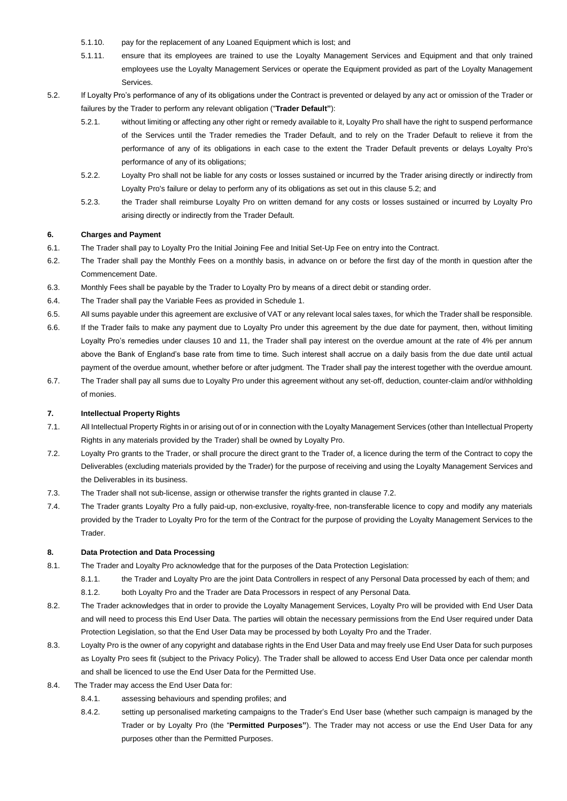- 5.1.10. pay for the replacement of any Loaned Equipment which is lost; and
- 5.1.11. ensure that its employees are trained to use the Loyalty Management Services and Equipment and that only trained employees use the Loyalty Management Services or operate the Equipment provided as part of the Loyalty Management **Services**
- 5.2. If Loyalty Pro's performance of any of its obligations under the Contract is prevented or delayed by any act or omission of the Trader or failures by the Trader to perform any relevant obligation ("**Trader Default"**):
	- 5.2.1. without limiting or affecting any other right or remedy available to it, Loyalty Pro shall have the right to suspend performance of the Services until the Trader remedies the Trader Default, and to rely on the Trader Default to relieve it from the performance of any of its obligations in each case to the extent the Trader Default prevents or delays Loyalty Pro's performance of any of its obligations;
	- 5.2.2. Loyalty Pro shall not be liable for any costs or losses sustained or incurred by the Trader arising directly or indirectly from Loyalty Pro's failure or delay to perform any of its obligations as set out in this clause 5.2; and
	- 5.2.3. the Trader shall reimburse Loyalty Pro on written demand for any costs or losses sustained or incurred by Loyalty Pro arising directly or indirectly from the Trader Default.

## **6. Charges and Payment**

- 6.1. The Trader shall pay to Loyalty Pro the Initial Joining Fee and Initial Set-Up Fee on entry into the Contract.
- 6.2. The Trader shall pay the Monthly Fees on a monthly basis, in advance on or before the first day of the month in question after the Commencement Date.
- 6.3. Monthly Fees shall be payable by the Trader to Loyalty Pro by means of a direct debit or standing order.
- 6.4. The Trader shall pay the Variable Fees as provided in Schedule 1.
- 6.5. All sums payable under this agreement are exclusive of VAT or any relevant local sales taxes, for which the Trader shall be responsible.
- 6.6. If the Trader fails to make any payment due to Loyalty Pro under this agreement by the due date for payment, then, without limiting Loyalty Pro's remedies under clauses 10 and 11, the Trader shall pay interest on the overdue amount at the rate of 4% per annum above the Bank of England's base rate from time to time. Such interest shall accrue on a daily basis from the due date until actual payment of the overdue amount, whether before or after judgment. The Trader shall pay the interest together with the overdue amount.
- 6.7. The Trader shall pay all sums due to Loyalty Pro under this agreement without any set-off, deduction, counter-claim and/or withholding of monies.

## **7. Intellectual Property Rights**

- 7.1. All Intellectual Property Rights in or arising out of or in connection with the Loyalty Management Services (other than Intellectual Property Rights in any materials provided by the Trader) shall be owned by Loyalty Pro.
- 7.2. Loyalty Pro grants to the Trader, or shall procure the direct grant to the Trader of, a licence during the term of the Contract to copy the Deliverables (excluding materials provided by the Trader) for the purpose of receiving and using the Loyalty Management Services and the Deliverables in its business.
- 7.3. The Trader shall not sub-license, assign or otherwise transfer the rights granted in clause 7.2.
- 7.4. The Trader grants Loyalty Pro a fully paid-up, non-exclusive, royalty-free, non-transferable licence to copy and modify any materials provided by the Trader to Loyalty Pro for the term of the Contract for the purpose of providing the Loyalty Management Services to the Trader.

### **8. Data Protection and Data Processing**

- 8.1. The Trader and Loyalty Pro acknowledge that for the purposes of the Data Protection Legislation:
	- 8.1.1. the Trader and Loyalty Pro are the joint Data Controllers in respect of any Personal Data processed by each of them; and 8.1.2. both Loyalty Pro and the Trader are Data Processors in respect of any Personal Data.
- 8.2. The Trader acknowledges that in order to provide the Loyalty Management Services, Loyalty Pro will be provided with End User Data and will need to process this End User Data. The parties will obtain the necessary permissions from the End User required under Data Protection Legislation, so that the End User Data may be processed by both Loyalty Pro and the Trader.
- 8.3. Loyalty Pro is the owner of any copyright and database rights in the End User Data and may freely use End User Data for such purposes as Loyalty Pro sees fit (subject to the Privacy Policy). The Trader shall be allowed to access End User Data once per calendar month and shall be licenced to use the End User Data for the Permitted Use.
- 8.4. The Trader may access the End User Data for:
	- 8.4.1. assessing behaviours and spending profiles; and
	- 8.4.2. setting up personalised marketing campaigns to the Trader's End User base (whether such campaign is managed by the Trader or by Loyalty Pro (the "**Permitted Purposes"**). The Trader may not access or use the End User Data for any purposes other than the Permitted Purposes.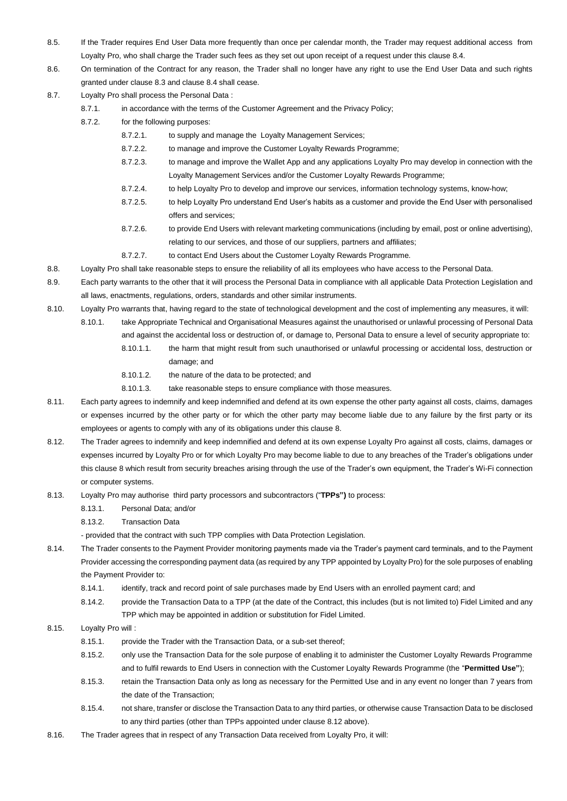- 8.5. If the Trader requires End User Data more frequently than once per calendar month, the Trader may request additional access from Loyalty Pro, who shall charge the Trader such fees as they set out upon receipt of a request under this clause 8.4.
- 8.6. On termination of the Contract for any reason, the Trader shall no longer have any right to use the End User Data and such rights granted under clause 8.3 and clause 8.4 shall cease.
- 8.7. Loyalty Pro shall process the Personal Data :
	- 8.7.1. in accordance with the terms of the Customer Agreement and the Privacy Policy;
	- 8.7.2. for the following purposes:
		- 8.7.2.1. to supply and manage the Loyalty Management Services;
		- 8.7.2.2. to manage and improve the Customer Loyalty Rewards Programme;
		- 8.7.2.3. to manage and improve the Wallet App and any applications Loyalty Pro may develop in connection with the Loyalty Management Services and/or the Customer Loyalty Rewards Programme;
		- 8.7.2.4. to help Loyalty Pro to develop and improve our services, information technology systems, know-how;
		- 8.7.2.5. to help Loyalty Pro understand End User's habits as a customer and provide the End User with personalised offers and services;
		- 8.7.2.6. to provide End Users with relevant marketing communications (including by email, post or online advertising), relating to our services, and those of our suppliers, partners and affiliates;
		- 8.7.2.7. to contact End Users about the Customer Loyalty Rewards Programme.
- 8.8. Loyalty Pro shall take reasonable steps to ensure the reliability of all its employees who have access to the Personal Data.
- 8.9. Each party warrants to the other that it will process the Personal Data in compliance with all applicable Data Protection Legislation and all laws, enactments, regulations, orders, standards and other similar instruments.
- 8.10. Loyalty Pro warrants that, having regard to the state of technological development and the cost of implementing any measures, it will:
	- 8.10.1. take Appropriate Technical and Organisational Measures against the unauthorised or unlawful processing of Personal Data and against the accidental loss or destruction of, or damage to, Personal Data to ensure a level of security appropriate to:
		- 8.10.1.1. the harm that might result from such unauthorised or unlawful processing or accidental loss, destruction or damage; and
		- 8.10.1.2. the nature of the data to be protected; and
		- 8.10.1.3. take reasonable steps to ensure compliance with those measures.
- 8.11. Each party agrees to indemnify and keep indemnified and defend at its own expense the other party against all costs, claims, damages or expenses incurred by the other party or for which the other party may become liable due to any failure by the first party or its employees or agents to comply with any of its obligations under this clause 8.
- 8.12. The Trader agrees to indemnify and keep indemnified and defend at its own expense Loyalty Pro against all costs, claims, damages or expenses incurred by Loyalty Pro or for which Loyalty Pro may become liable to due to any breaches of the Trader's obligations under this clause 8 which result from security breaches arising through the use of the Trader's own equipment, the Trader's Wi-Fi connection or computer systems.
- 8.13. Loyalty Pro may authorise third party processors and subcontractors ("**TPPs")** to process:
	- 8.13.1. Personal Data; and/or
	- 8.13.2. Transaction Data

- provided that the contract with such TPP complies with Data Protection Legislation.

- 8.14. The Trader consents to the Payment Provider monitoring payments made via the Trader's payment card terminals, and to the Payment Provider accessing the corresponding payment data (as required by any TPP appointed by Loyalty Pro) for the sole purposes of enabling the Payment Provider to:
	- 8.14.1. identify, track and record point of sale purchases made by End Users with an enrolled payment card; and
	- 8.14.2. provide the Transaction Data to a TPP (at the date of the Contract, this includes (but is not limited to) Fidel Limited and any TPP which may be appointed in addition or substitution for Fidel Limited.
- 8.15. Loyalty Pro will :
	- 8.15.1. provide the Trader with the Transaction Data, or a sub-set thereof;
	- 8.15.2. only use the Transaction Data for the sole purpose of enabling it to administer the Customer Loyalty Rewards Programme and to fulfil rewards to End Users in connection with the Customer Loyalty Rewards Programme (the "**Permitted Use"**);
	- 8.15.3. retain the Transaction Data only as long as necessary for the Permitted Use and in any event no longer than 7 years from the date of the Transaction;
	- 8.15.4. not share, transfer or disclose the Transaction Data to any third parties, or otherwise cause Transaction Data to be disclosed to any third parties (other than TPPs appointed under clause 8.12 above).
- 8.16. The Trader agrees that in respect of any Transaction Data received from Loyalty Pro, it will: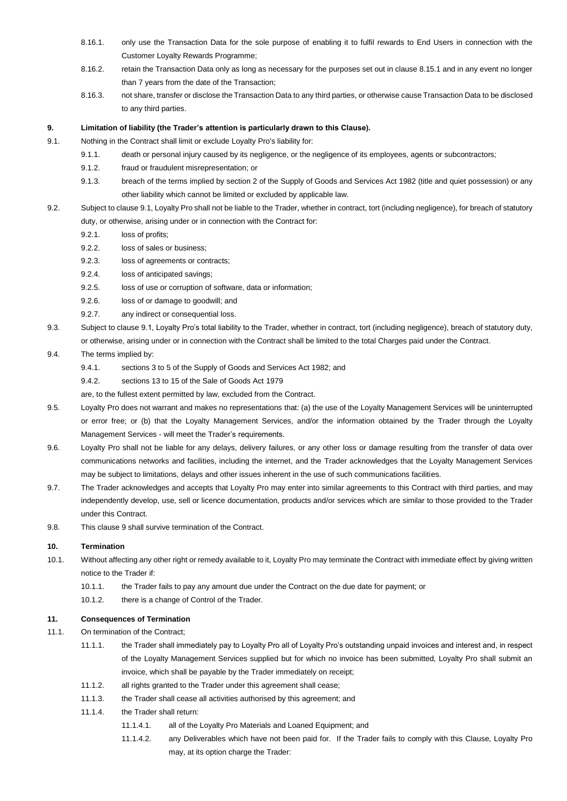- 8.16.1. only use the Transaction Data for the sole purpose of enabling it to fulfil rewards to End Users in connection with the Customer Loyalty Rewards Programme;
- 8.16.2. retain the Transaction Data only as long as necessary for the purposes set out in clause 8.15.1 and in any event no longer than 7 years from the date of the Transaction;
- 8.16.3. not share, transfer or disclose the Transaction Data to any third parties, or otherwise cause Transaction Data to be disclosed to any third parties.

## **9. Limitation of liability (the Trader's attention is particularly drawn to this Clause).**

- 9.1. Nothing in the Contract shall limit or exclude Loyalty Pro's liability for:
	- 9.1.1. death or personal injury caused by its negligence, or the negligence of its employees, agents or subcontractors;
	- 9.1.2. fraud or fraudulent misrepresentation; or
	- 9.1.3. breach of the terms implied by section 2 of the Supply of Goods and Services Act 1982 (title and quiet possession) or any other liability which cannot be limited or excluded by applicable law.
- 9.2. Subject to clause 9.1, Loyalty Pro shall not be liable to the Trader, whether in contract, tort (including negligence), for breach of statutory duty, or otherwise, arising under or in connection with the Contract for:
	- 9.2.1. loss of profits;
	- 9.2.2. loss of sales or business;
	- 9.2.3. loss of agreements or contracts;
	- 9.2.4. loss of anticipated savings;
	- 9.2.5. loss of use or corruption of software, data or information;
	- 9.2.6. loss of or damage to goodwill; and
	- 9.2.7. any indirect or consequential loss.
- 9.3. Subject to clause 9.1, Loyalty Pro's total liability to the Trader, whether in contract, tort (including negligence), breach of statutory duty, or otherwise, arising under or in connection with the Contract shall be limited to the total Charges paid under the Contract.
- 9.4. The terms implied by:
	- 9.4.1. sections 3 to 5 of the Supply of Goods and Services Act 1982; and
	- 9.4.2. sections 13 to 15 of the Sale of Goods Act 1979

are, to the fullest extent permitted by law, excluded from the Contract.

- 9.5. Loyalty Pro does not warrant and makes no representations that: (a) the use of the Loyalty Management Services will be uninterrupted or error free; or (b) that the Loyalty Management Services, and/or the information obtained by the Trader through the Loyalty Management Services - will meet the Trader's requirements.
- 9.6. Loyalty Pro shall not be liable for any delays, delivery failures, or any other loss or damage resulting from the transfer of data over communications networks and facilities, including the internet, and the Trader acknowledges that the Loyalty Management Services may be subject to limitations, delays and other issues inherent in the use of such communications facilities.
- 9.7. The Trader acknowledges and accepts that Loyalty Pro may enter into similar agreements to this Contract with third parties, and may independently develop, use, sell or licence documentation, products and/or services which are similar to those provided to the Trader under this Contract.
- 9.8. This clause 9 shall survive termination of the Contract.

#### **10. Termination**

- 10.1. Without affecting any other right or remedy available to it, Loyalty Pro may terminate the Contract with immediate effect by giving written notice to the Trader if:
	- 10.1.1. the Trader fails to pay any amount due under the Contract on the due date for payment; or
	- 10.1.2. there is a change of Control of the Trader.

# **11. Consequences of Termination**

- 11.1. On termination of the Contract;
	- 11.1.1. the Trader shall immediately pay to Loyalty Pro all of Loyalty Pro's outstanding unpaid invoices and interest and, in respect of the Loyalty Management Services supplied but for which no invoice has been submitted, Loyalty Pro shall submit an invoice, which shall be payable by the Trader immediately on receipt;
	- 11.1.2. all rights granted to the Trader under this agreement shall cease;
	- 11.1.3. the Trader shall cease all activities authorised by this agreement; and
	- 11.1.4. the Trader shall return:
		- 11.1.4.1. all of the Loyalty Pro Materials and Loaned Equipment; and
		- 11.1.4.2. any Deliverables which have not been paid for. If the Trader fails to comply with this Clause, Loyalty Pro may, at its option charge the Trader: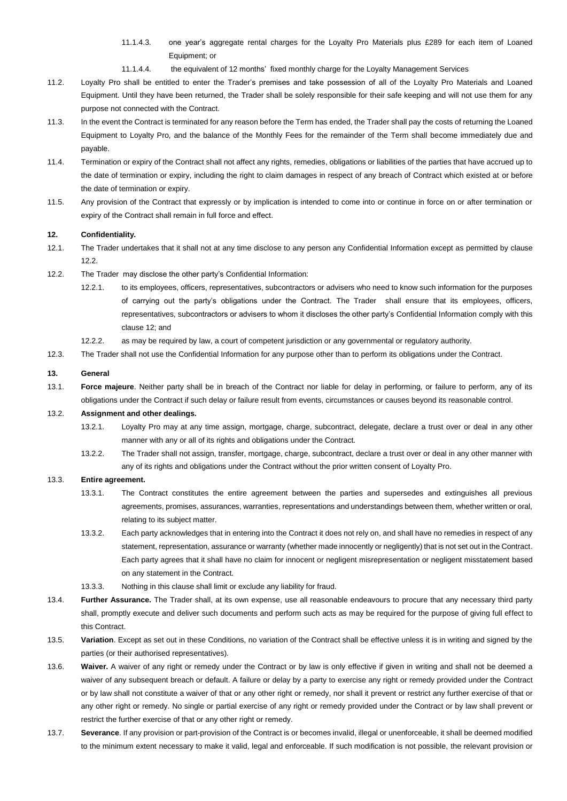- 11.1.4.3. one year's aggregate rental charges for the Loyalty Pro Materials plus £289 for each item of Loaned Equipment; or
- 11.1.4.4. the equivalent of 12 months' fixed monthly charge for the Loyalty Management Services
- 11.2. Loyalty Pro shall be entitled to enter the Trader's premises and take possession of all of the Loyalty Pro Materials and Loaned Equipment. Until they have been returned, the Trader shall be solely responsible for their safe keeping and will not use them for any purpose not connected with the Contract.
- 11.3. In the event the Contract is terminated for any reason before the Term has ended, the Trader shall pay the costs of returning the Loaned Equipment to Loyalty Pro, and the balance of the Monthly Fees for the remainder of the Term shall become immediately due and payable.
- 11.4. Termination or expiry of the Contract shall not affect any rights, remedies, obligations or liabilities of the parties that have accrued up to the date of termination or expiry, including the right to claim damages in respect of any breach of Contract which existed at or before the date of termination or expiry.
- 11.5. Any provision of the Contract that expressly or by implication is intended to come into or continue in force on or after termination or expiry of the Contract shall remain in full force and effect.

# **12. Confidentiality.**

- 12.1. The Trader undertakes that it shall not at any time disclose to any person any Confidential Information except as permitted by clause 12.2.
- 12.2. The Trader may disclose the other party's Confidential Information:
	- 12.2.1. to its employees, officers, representatives, subcontractors or advisers who need to know such information for the purposes of carrying out the party's obligations under the Contract. The Trader shall ensure that its employees, officers, representatives, subcontractors or advisers to whom it discloses the other party's Confidential Information comply with this clause 12; and
	- 12.2.2. as may be required by law, a court of competent jurisdiction or any governmental or regulatory authority.
- 12.3. The Trader shall not use the Confidential Information for any purpose other than to perform its obligations under the Contract.

#### **13. General**

13.1. **Force majeure**. Neither party shall be in breach of the Contract nor liable for delay in performing, or failure to perform, any of its obligations under the Contract if such delay or failure result from events, circumstances or causes beyond its reasonable control.

#### 13.2. **Assignment and other dealings.**

- 13.2.1. Loyalty Pro may at any time assign, mortgage, charge, subcontract, delegate, declare a trust over or deal in any other manner with any or all of its rights and obligations under the Contract.
- 13.2.2. The Trader shall not assign, transfer, mortgage, charge, subcontract, declare a trust over or deal in any other manner with any of its rights and obligations under the Contract without the prior written consent of Loyalty Pro.

#### 13.3. **Entire agreement.**

- 13.3.1. The Contract constitutes the entire agreement between the parties and supersedes and extinguishes all previous agreements, promises, assurances, warranties, representations and understandings between them, whether written or oral, relating to its subject matter.
- 13.3.2. Each party acknowledges that in entering into the Contract it does not rely on, and shall have no remedies in respect of any statement, representation, assurance or warranty (whether made innocently or negligently) that is not set out in the Contract. Each party agrees that it shall have no claim for innocent or negligent misrepresentation or negligent misstatement based on any statement in the Contract.
- 13.3.3. Nothing in this clause shall limit or exclude any liability for fraud.
- 13.4. **Further Assurance.** The Trader shall, at its own expense, use all reasonable endeavours to procure that any necessary third party shall, promptly execute and deliver such documents and perform such acts as may be required for the purpose of giving full effect to this Contract.
- 13.5. **Variation**. Except as set out in these Conditions, no variation of the Contract shall be effective unless it is in writing and signed by the parties (or their authorised representatives).
- 13.6. **Waiver.** A waiver of any right or remedy under the Contract or by law is only effective if given in writing and shall not be deemed a waiver of any subsequent breach or default. A failure or delay by a party to exercise any right or remedy provided under the Contract or by law shall not constitute a waiver of that or any other right or remedy, nor shall it prevent or restrict any further exercise of that or any other right or remedy. No single or partial exercise of any right or remedy provided under the Contract or by law shall prevent or restrict the further exercise of that or any other right or remedy.
- 13.7. **Severance**. If any provision or part-provision of the Contract is or becomes invalid, illegal or unenforceable, it shall be deemed modified to the minimum extent necessary to make it valid, legal and enforceable. If such modification is not possible, the relevant provision or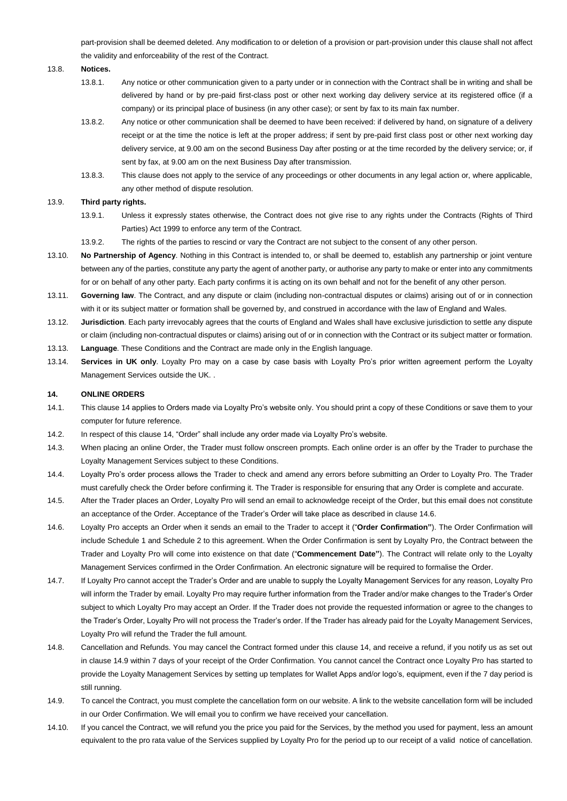part-provision shall be deemed deleted. Any modification to or deletion of a provision or part-provision under this clause shall not affect the validity and enforceability of the rest of the Contract.

#### 13.8. **Notices.**

- 13.8.1. Any notice or other communication given to a party under or in connection with the Contract shall be in writing and shall be delivered by hand or by pre-paid first-class post or other next working day delivery service at its registered office (if a company) or its principal place of business (in any other case); or sent by fax to its main fax number.
- 13.8.2. Any notice or other communication shall be deemed to have been received: if delivered by hand, on signature of a delivery receipt or at the time the notice is left at the proper address; if sent by pre-paid first class post or other next working day delivery service, at 9.00 am on the second Business Day after posting or at the time recorded by the delivery service; or, if sent by fax, at 9.00 am on the next Business Day after transmission.
- 13.8.3. This clause does not apply to the service of any proceedings or other documents in any legal action or, where applicable, any other method of dispute resolution.

## 13.9. **Third party rights.**

- 13.9.1. Unless it expressly states otherwise, the Contract does not give rise to any rights under the Contracts (Rights of Third Parties) Act 1999 to enforce any term of the Contract.
- 13.9.2. The rights of the parties to rescind or vary the Contract are not subject to the consent of any other person.
- 13.10. **No Partnership of Agency**. Nothing in this Contract is intended to, or shall be deemed to, establish any partnership or joint venture between any of the parties, constitute any party the agent of another party, or authorise any party to make or enter into any commitments for or on behalf of any other party. Each party confirms it is acting on its own behalf and not for the benefit of any other person.
- 13.11. **Governing law**. The Contract, and any dispute or claim (including non-contractual disputes or claims) arising out of or in connection with it or its subject matter or formation shall be governed by, and construed in accordance with the law of England and Wales.
- 13.12. **Jurisdiction**. Each party irrevocably agrees that the courts of England and Wales shall have exclusive jurisdiction to settle any dispute or claim (including non-contractual disputes or claims) arising out of or in connection with the Contract or its subject matter or formation.
- 13.13. **Language**. These Conditions and the Contract are made only in the English language.
- 13.14. **Services in UK only**. Loyalty Pro may on a case by case basis with Loyalty Pro's prior written agreement perform the Loyalty Management Services outside the UK. .

## **14. ONLINE ORDERS**

- 14.1. This clause 14 applies to Orders made via Loyalty Pro's website only. You should print a copy of these Conditions or save them to your computer for future reference.
- 14.2. In respect of this clause 14, "Order" shall include any order made via Loyalty Pro's website.
- 14.3. When placing an online Order, the Trader must follow onscreen prompts. Each online order is an offer by the Trader to purchase the Loyalty Management Services subject to these Conditions.
- 14.4. Loyalty Pro's order process allows the Trader to check and amend any errors before submitting an Order to Loyalty Pro. The Trader must carefully check the Order before confirming it. The Trader is responsible for ensuring that any Order is complete and accurate.
- 14.5. After the Trader places an Order, Loyalty Pro will send an email to acknowledge receipt of the Order, but this email does not constitute an acceptance of the Order. Acceptance of the Trader's Order will take place as described in clause 14.6.
- 14.6. Loyalty Pro accepts an Order when it sends an email to the Trader to accept it ("**Order Confirmation"**). The Order Confirmation will include Schedule 1 and Schedule 2 to this agreement. When the Order Confirmation is sent by Loyalty Pro, the Contract between the Trader and Loyalty Pro will come into existence on that date ("**Commencement Date"**). The Contract will relate only to the Loyalty Management Services confirmed in the Order Confirmation. An electronic signature will be required to formalise the Order.
- 14.7. If Loyalty Pro cannot accept the Trader's Order and are unable to supply the Loyalty Management Services for any reason, Loyalty Pro will inform the Trader by email. Loyalty Pro may require further information from the Trader and/or make changes to the Trader's Order subject to which Loyalty Pro may accept an Order. If the Trader does not provide the requested information or agree to the changes to the Trader's Order, Loyalty Pro will not process the Trader's order. If the Trader has already paid for the Loyalty Management Services, Loyalty Pro will refund the Trader the full amount.
- 14.8. Cancellation and Refunds. You may cancel the Contract formed under this clause 14, and receive a refund, if you notify us as set out in clause 14.9 within 7 days of your receipt of the Order Confirmation. You cannot cancel the Contract once Loyalty Pro has started to provide the Loyalty Management Services by setting up templates for Wallet Apps and/or logo's, equipment, even if the 7 day period is still running.
- 14.9. To cancel the Contract, you must complete the cancellation form on our website. A link to the website cancellation form will be included in our Order Confirmation. We will email you to confirm we have received your cancellation.
- 14.10. If you cancel the Contract, we will refund you the price you paid for the Services, by the method you used for payment, less an amount equivalent to the pro rata value of the Services supplied by Loyalty Pro for the period up to our receipt of a valid notice of cancellation.